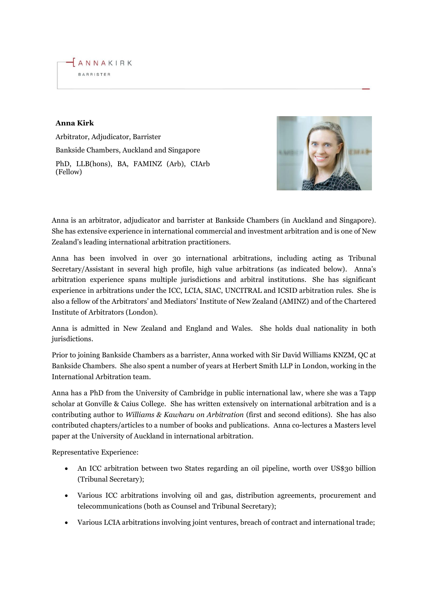

## **Anna Kirk**

Arbitrator, Adjudicator, Barrister Bankside Chambers, Auckland and Singapore PhD, LLB(hons), BA, FAMINZ (Arb), CIArb (Fellow)



Anna is an arbitrator, adjudicator and barrister at Bankside Chambers (in Auckland and Singapore). She has extensive experience in international commercial and investment arbitration and is one of New Zealand's leading international arbitration practitioners.

Anna has been involved in over 30 international arbitrations, including acting as Tribunal Secretary/Assistant in several high profile, high value arbitrations (as indicated below). Anna's arbitration experience spans multiple jurisdictions and arbitral institutions. She has significant experience in arbitrations under the ICC, LCIA, SIAC, UNCITRAL and ICSID arbitration rules. She is also a fellow of the Arbitrators' and Mediators' Institute of New Zealand (AMINZ) and of the Chartered Institute of Arbitrators (London).

Anna is admitted in New Zealand and England and Wales. She holds dual nationality in both jurisdictions.

Prior to joining Bankside Chambers as a barrister, Anna worked with Sir David Williams KNZM, QC at Bankside Chambers. She also spent a number of years at Herbert Smith LLP in London, working in the International Arbitration team.

Anna has a PhD from the University of Cambridge in public international law, where she was a Tapp scholar at Gonville & Caius College. She has written extensively on international arbitration and is a contributing author to *Williams & Kawharu on Arbitration* (first and second editions). She has also contributed chapters/articles to a number of books and publications. Anna co-lectures a Masters level paper at the University of Auckland in international arbitration.

Representative Experience:

- An ICC arbitration between two States regarding an oil pipeline, worth over US\$30 billion (Tribunal Secretary);
- Various ICC arbitrations involving oil and gas, distribution agreements, procurement and telecommunications (both as Counsel and Tribunal Secretary);
- Various LCIA arbitrations involving joint ventures, breach of contract and international trade;